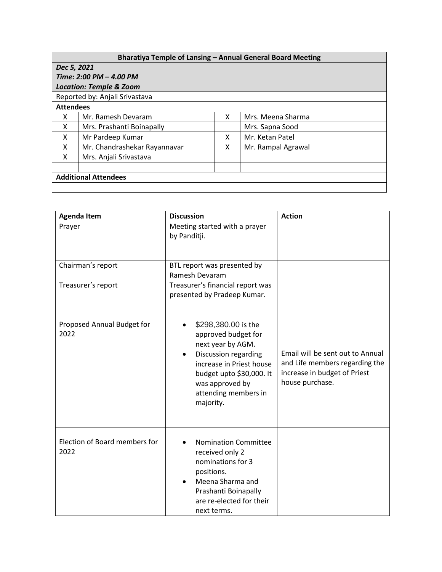| Bharatiya Temple of Lansing - Annual General Board Meeting |                              |   |                    |  |  |  |
|------------------------------------------------------------|------------------------------|---|--------------------|--|--|--|
| Dec 5, 2021                                                |                              |   |                    |  |  |  |
| Time: 2:00 PM - 4.00 PM                                    |                              |   |                    |  |  |  |
| <b>Location: Temple &amp; Zoom</b>                         |                              |   |                    |  |  |  |
| Reported by: Anjali Srivastava                             |                              |   |                    |  |  |  |
| <b>Attendees</b>                                           |                              |   |                    |  |  |  |
| X                                                          | Mr. Ramesh Devaram           | X | Mrs. Meena Sharma  |  |  |  |
| X                                                          | Mrs. Prashanti Boinapally    |   | Mrs. Sapna Sood    |  |  |  |
| X                                                          | Mr Pardeep Kumar             | x | Mr. Ketan Patel    |  |  |  |
| x                                                          | Mr. Chandrashekar Rayannavar | x | Mr. Rampal Agrawal |  |  |  |
| x                                                          | Mrs. Anjali Srivastava       |   |                    |  |  |  |
|                                                            |                              |   |                    |  |  |  |
| <b>Additional Attendees</b>                                |                              |   |                    |  |  |  |
|                                                            |                              |   |                    |  |  |  |

| <b>Agenda Item</b>                    | <b>Discussion</b>                                                                                                                                                                                                                 | <b>Action</b>                                                                                                         |
|---------------------------------------|-----------------------------------------------------------------------------------------------------------------------------------------------------------------------------------------------------------------------------------|-----------------------------------------------------------------------------------------------------------------------|
| Prayer                                | Meeting started with a prayer<br>by Panditji.                                                                                                                                                                                     |                                                                                                                       |
| Chairman's report                     | BTL report was presented by<br>Ramesh Devaram                                                                                                                                                                                     |                                                                                                                       |
| Treasurer's report                    | Treasurer's financial report was<br>presented by Pradeep Kumar.                                                                                                                                                                   |                                                                                                                       |
| Proposed Annual Budget for<br>2022    | \$298,380.00 is the<br>$\bullet$<br>approved budget for<br>next year by AGM.<br>Discussion regarding<br>$\bullet$<br>increase in Priest house<br>budget upto \$30,000. It<br>was approved by<br>attending members in<br>majority. | Email will be sent out to Annual<br>and Life members regarding the<br>increase in budget of Priest<br>house purchase. |
| Election of Board members for<br>2022 | <b>Nomination Committee</b><br>received only 2<br>nominations for 3<br>positions.<br>Meena Sharma and<br>Prashanti Boinapally<br>are re-elected for their<br>next terms.                                                          |                                                                                                                       |